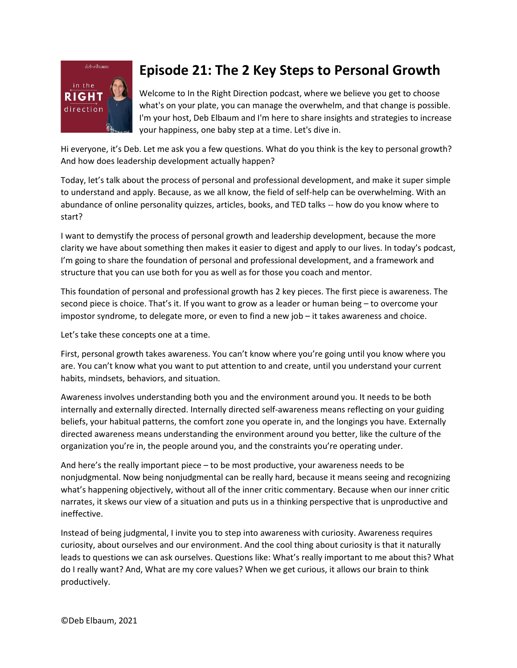

## **Episode 21: The 2 Key Steps to Personal Growth**

Welcome to In the Right Direction podcast, where we believe you get to choose what's on your plate, you can manage the overwhelm, and that change is possible. I'm your host, Deb Elbaum and I'm here to share insights and strategies to increase your happiness, one baby step at a time. Let's dive in.

Hi everyone, it's Deb. Let me ask you a few questions. What do you think is the key to personal growth? And how does leadership development actually happen?

Today, let's talk about the process of personal and professional development, and make it super simple to understand and apply. Because, as we all know, the field of self-help can be overwhelming. With an abundance of online personality quizzes, articles, books, and TED talks -- how do you know where to start?

I want to demystify the process of personal growth and leadership development, because the more clarity we have about something then makes it easier to digest and apply to our lives. In today's podcast, I'm going to share the foundation of personal and professional development, and a framework and structure that you can use both for you as well as for those you coach and mentor.

This foundation of personal and professional growth has 2 key pieces. The first piece is awareness. The second piece is choice. That's it. If you want to grow as a leader or human being – to overcome your impostor syndrome, to delegate more, or even to find a new job – it takes awareness and choice.

Let's take these concepts one at a time.

First, personal growth takes awareness. You can't know where you're going until you know where you are. You can't know what you want to put attention to and create, until you understand your current habits, mindsets, behaviors, and situation.

Awareness involves understanding both you and the environment around you. It needs to be both internally and externally directed. Internally directed self-awareness means reflecting on your guiding beliefs, your habitual patterns, the comfort zone you operate in, and the longings you have. Externally directed awareness means understanding the environment around you better, like the culture of the organization you're in, the people around you, and the constraints you're operating under.

And here's the really important piece – to be most productive, your awareness needs to be nonjudgmental. Now being nonjudgmental can be really hard, because it means seeing and recognizing what's happening objectively, without all of the inner critic commentary. Because when our inner critic narrates, it skews our view of a situation and puts us in a thinking perspective that is unproductive and ineffective.

Instead of being judgmental, I invite you to step into awareness with curiosity. Awareness requires curiosity, about ourselves and our environment. And the cool thing about curiosity is that it naturally leads to questions we can ask ourselves. Questions like: What's really important to me about this? What do I really want? And, What are my core values? When we get curious, it allows our brain to think productively.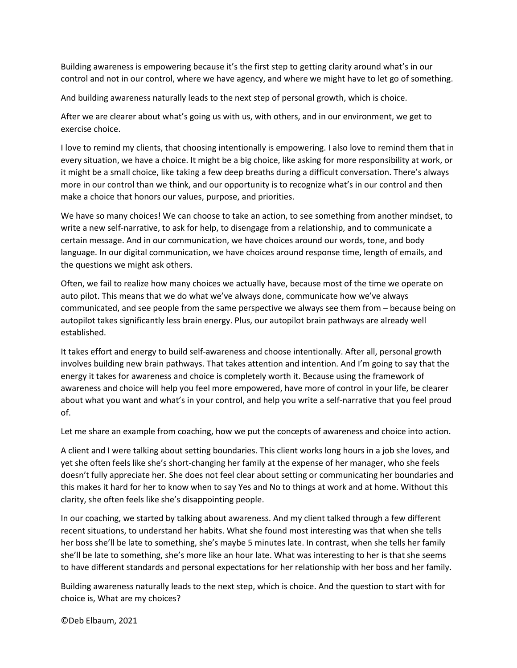Building awareness is empowering because it's the first step to getting clarity around what's in our control and not in our control, where we have agency, and where we might have to let go of something.

And building awareness naturally leads to the next step of personal growth, which is choice.

After we are clearer about what's going us with us, with others, and in our environment, we get to exercise choice.

I love to remind my clients, that choosing intentionally is empowering. I also love to remind them that in every situation, we have a choice. It might be a big choice, like asking for more responsibility at work, or it might be a small choice, like taking a few deep breaths during a difficult conversation. There's always more in our control than we think, and our opportunity is to recognize what's in our control and then make a choice that honors our values, purpose, and priorities.

We have so many choices! We can choose to take an action, to see something from another mindset, to write a new self-narrative, to ask for help, to disengage from a relationship, and to communicate a certain message. And in our communication, we have choices around our words, tone, and body language. In our digital communication, we have choices around response time, length of emails, and the questions we might ask others.

Often, we fail to realize how many choices we actually have, because most of the time we operate on auto pilot. This means that we do what we've always done, communicate how we've always communicated, and see people from the same perspective we always see them from – because being on autopilot takes significantly less brain energy. Plus, our autopilot brain pathways are already well established.

It takes effort and energy to build self-awareness and choose intentionally. After all, personal growth involves building new brain pathways. That takes attention and intention. And I'm going to say that the energy it takes for awareness and choice is completely worth it. Because using the framework of awareness and choice will help you feel more empowered, have more of control in your life, be clearer about what you want and what's in your control, and help you write a self-narrative that you feel proud of.

Let me share an example from coaching, how we put the concepts of awareness and choice into action.

A client and I were talking about setting boundaries. This client works long hours in a job she loves, and yet she often feels like she's short-changing her family at the expense of her manager, who she feels doesn't fully appreciate her. She does not feel clear about setting or communicating her boundaries and this makes it hard for her to know when to say Yes and No to things at work and at home. Without this clarity, she often feels like she's disappointing people.

In our coaching, we started by talking about awareness. And my client talked through a few different recent situations, to understand her habits. What she found most interesting was that when she tells her boss she'll be late to something, she's maybe 5 minutes late. In contrast, when she tells her family she'll be late to something, she's more like an hour late. What was interesting to her is that she seems to have different standards and personal expectations for her relationship with her boss and her family.

Building awareness naturally leads to the next step, which is choice. And the question to start with for choice is, What are my choices?

©Deb Elbaum, 2021